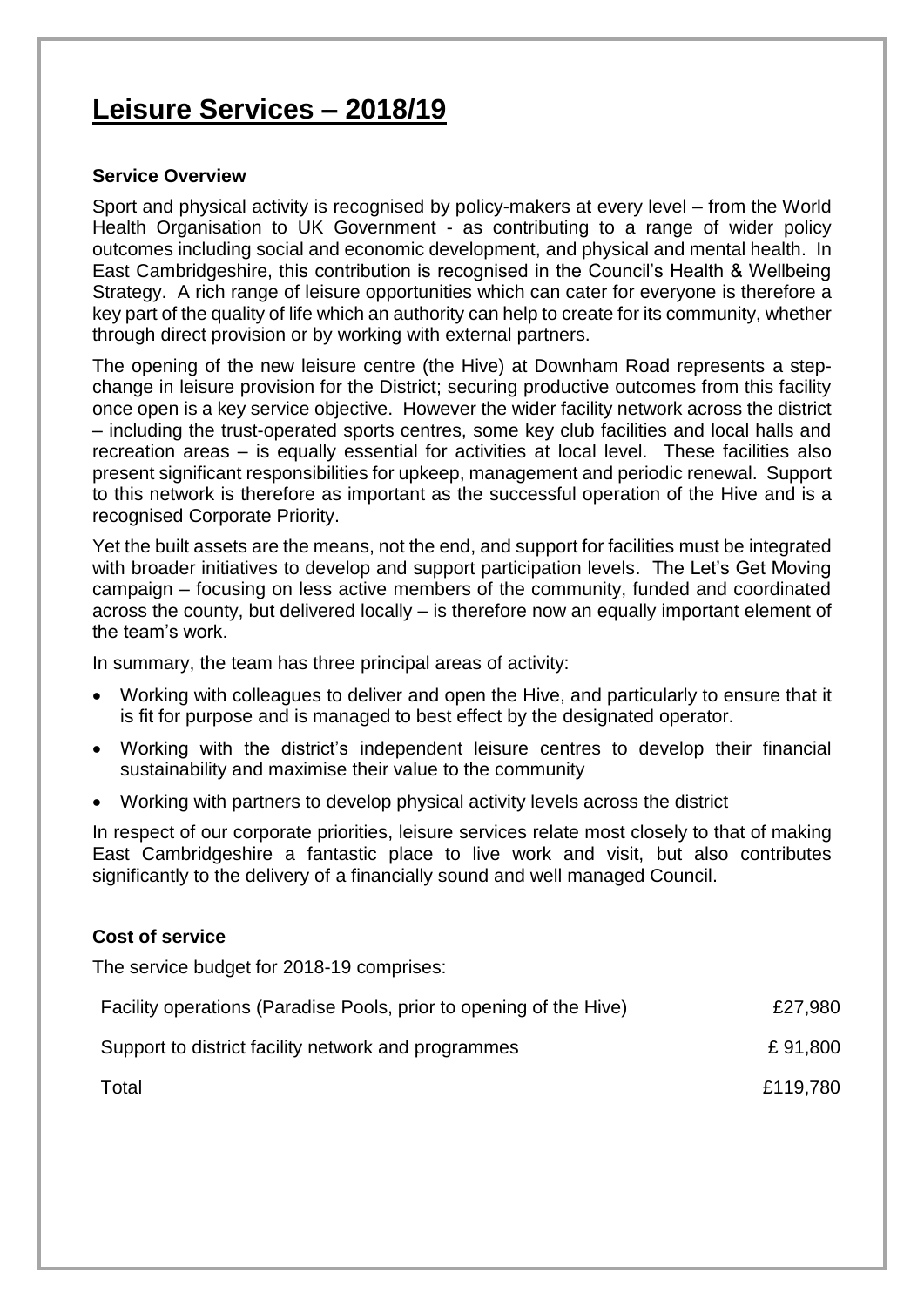# **Leisure Services – 2018/19**

#### **Service Overview**

Sport and physical activity is recognised by policy-makers at every level – from the World Health Organisation to UK Government - as contributing to a range of wider policy outcomes including social and economic development, and physical and mental health. In East Cambridgeshire, this contribution is recognised in the Council's Health & Wellbeing Strategy. A rich range of leisure opportunities which can cater for everyone is therefore a key part of the quality of life which an authority can help to create for its community, whether through direct provision or by working with external partners.

The opening of the new leisure centre (the Hive) at Downham Road represents a stepchange in leisure provision for the District; securing productive outcomes from this facility once open is a key service objective. However the wider facility network across the district – including the trust-operated sports centres, some key club facilities and local halls and recreation areas – is equally essential for activities at local level. These facilities also present significant responsibilities for upkeep, management and periodic renewal. Support to this network is therefore as important as the successful operation of the Hive and is a recognised Corporate Priority.

Yet the built assets are the means, not the end, and support for facilities must be integrated with broader initiatives to develop and support participation levels. The Let's Get Moving campaign – focusing on less active members of the community, funded and coordinated across the county, but delivered locally – is therefore now an equally important element of the team's work.

In summary, the team has three principal areas of activity:

- Working with colleagues to deliver and open the Hive, and particularly to ensure that it is fit for purpose and is managed to best effect by the designated operator.
- Working with the district's independent leisure centres to develop their financial sustainability and maximise their value to the community
- Working with partners to develop physical activity levels across the district

In respect of our corporate priorities, leisure services relate most closely to that of making East Cambridgeshire a fantastic place to live work and visit, but also contributes significantly to the delivery of a financially sound and well managed Council.

#### **Cost of service**

The service budget for 2018-19 comprises:

| Facility operations (Paradise Pools, prior to opening of the Hive) | £27,980  |
|--------------------------------------------------------------------|----------|
| Support to district facility network and programmes                | £91.800  |
| Total                                                              | £119,780 |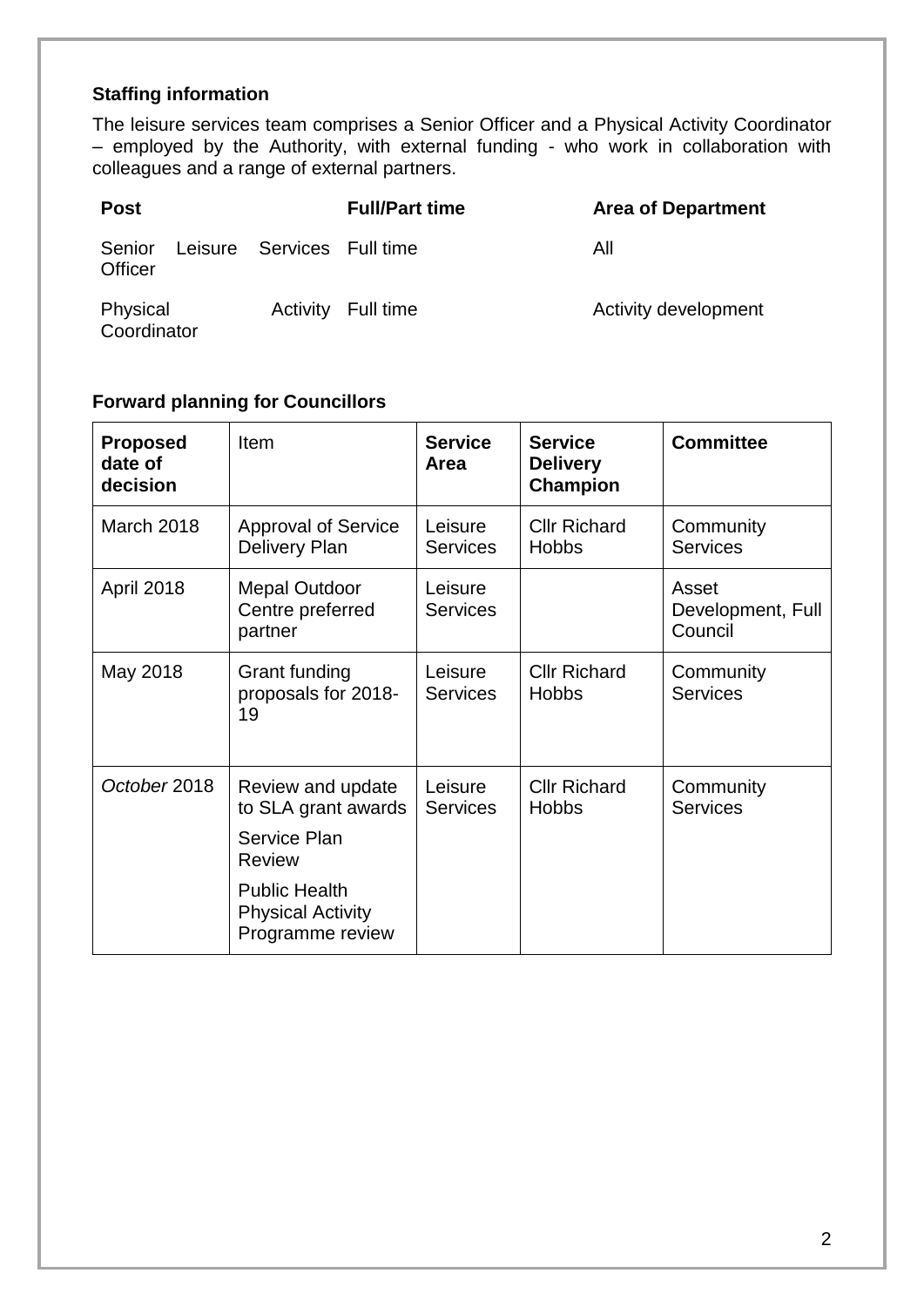### **Staffing information**

The leisure services team comprises a Senior Officer and a Physical Activity Coordinator – employed by the Authority, with external funding - who work in collaboration with colleagues and a range of external partners.

| <b>Post</b>             |                            | <b>Full/Part time</b> | <b>Area of Department</b> |
|-------------------------|----------------------------|-----------------------|---------------------------|
| Senior<br>Officer       | Leisure Services Full time |                       | All                       |
| Physical<br>Coordinator |                            | Activity Full time    | Activity development      |

### **Forward planning for Councillors**

| <b>Proposed</b><br>date of<br>decision | <b>Item</b>                                                                                                                                | <b>Service</b><br>Area     | <b>Service</b><br><b>Delivery</b><br>Champion | <b>Committee</b>                      |
|----------------------------------------|--------------------------------------------------------------------------------------------------------------------------------------------|----------------------------|-----------------------------------------------|---------------------------------------|
| March 2018                             | <b>Approval of Service</b><br><b>Delivery Plan</b>                                                                                         | Leisure<br><b>Services</b> | <b>Cllr Richard</b><br><b>Hobbs</b>           | Community<br><b>Services</b>          |
| <b>April 2018</b>                      | <b>Mepal Outdoor</b><br>Centre preferred<br>partner                                                                                        | Leisure<br><b>Services</b> |                                               | Asset<br>Development, Full<br>Council |
| May 2018                               | Grant funding<br>proposals for 2018-<br>19                                                                                                 | Leisure<br><b>Services</b> | <b>Cllr Richard</b><br><b>Hobbs</b>           | Community<br><b>Services</b>          |
| October 2018                           | Review and update<br>to SLA grant awards<br>Service Plan<br>Review<br><b>Public Health</b><br><b>Physical Activity</b><br>Programme review | Leisure<br><b>Services</b> | <b>Cllr Richard</b><br><b>Hobbs</b>           | Community<br><b>Services</b>          |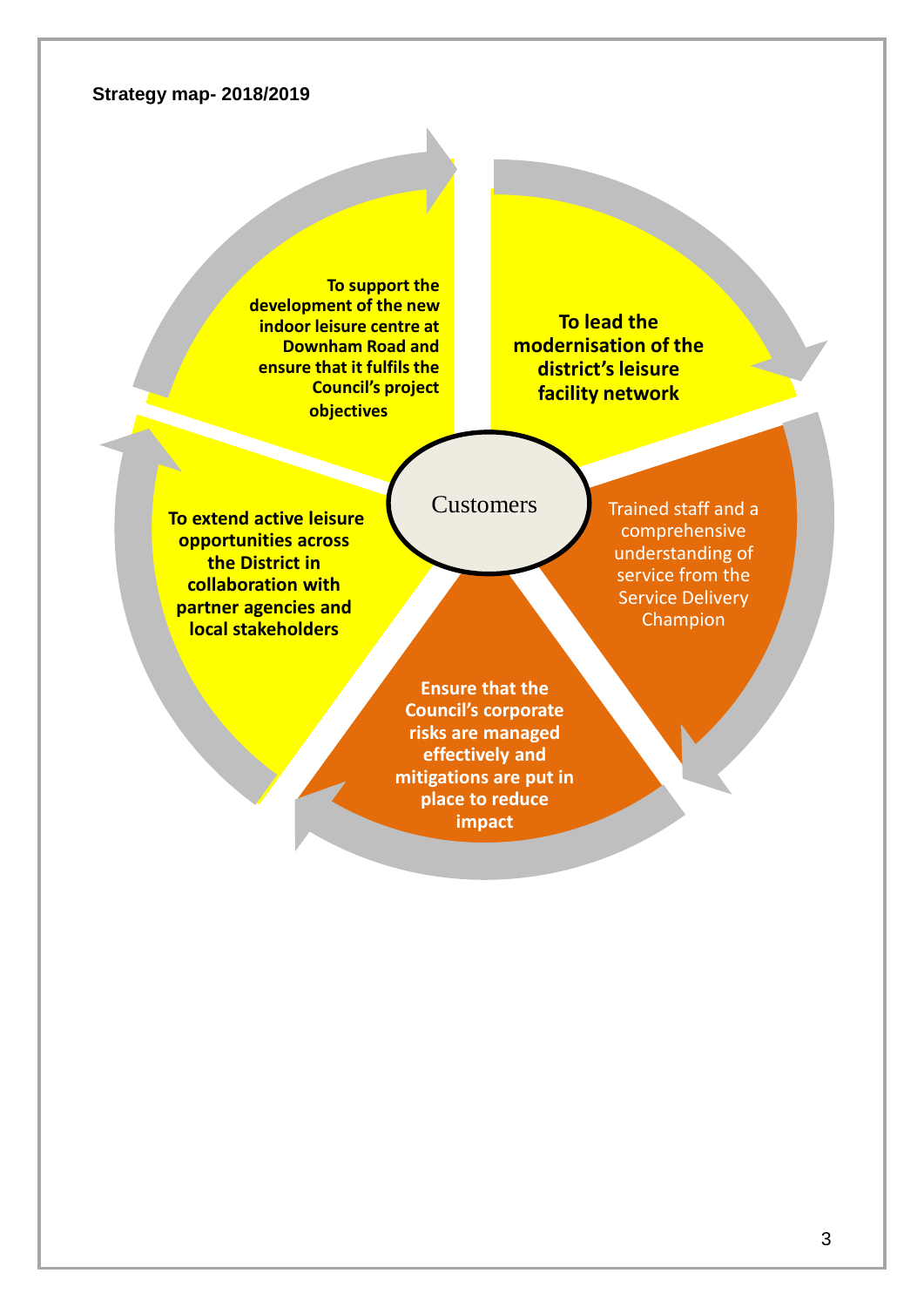#### **Strategy map- 2018/2019**

#### **To support the development of the new indoor leisure centre at Downham Road and ensure that it fulfils the Council's project objectives**

**To lead the modernisation of the district's leisure facility network**

**To extend active leisure opportunities across the District in collaboration with partner agencies and local stakeholders**

## **Customers**

Trained staff and a comprehensive understanding of service from the Service Delivery **Champion** 

**Ensure that the Council's corporate risks are managed effectively and mitigations are put in place to reduce impact**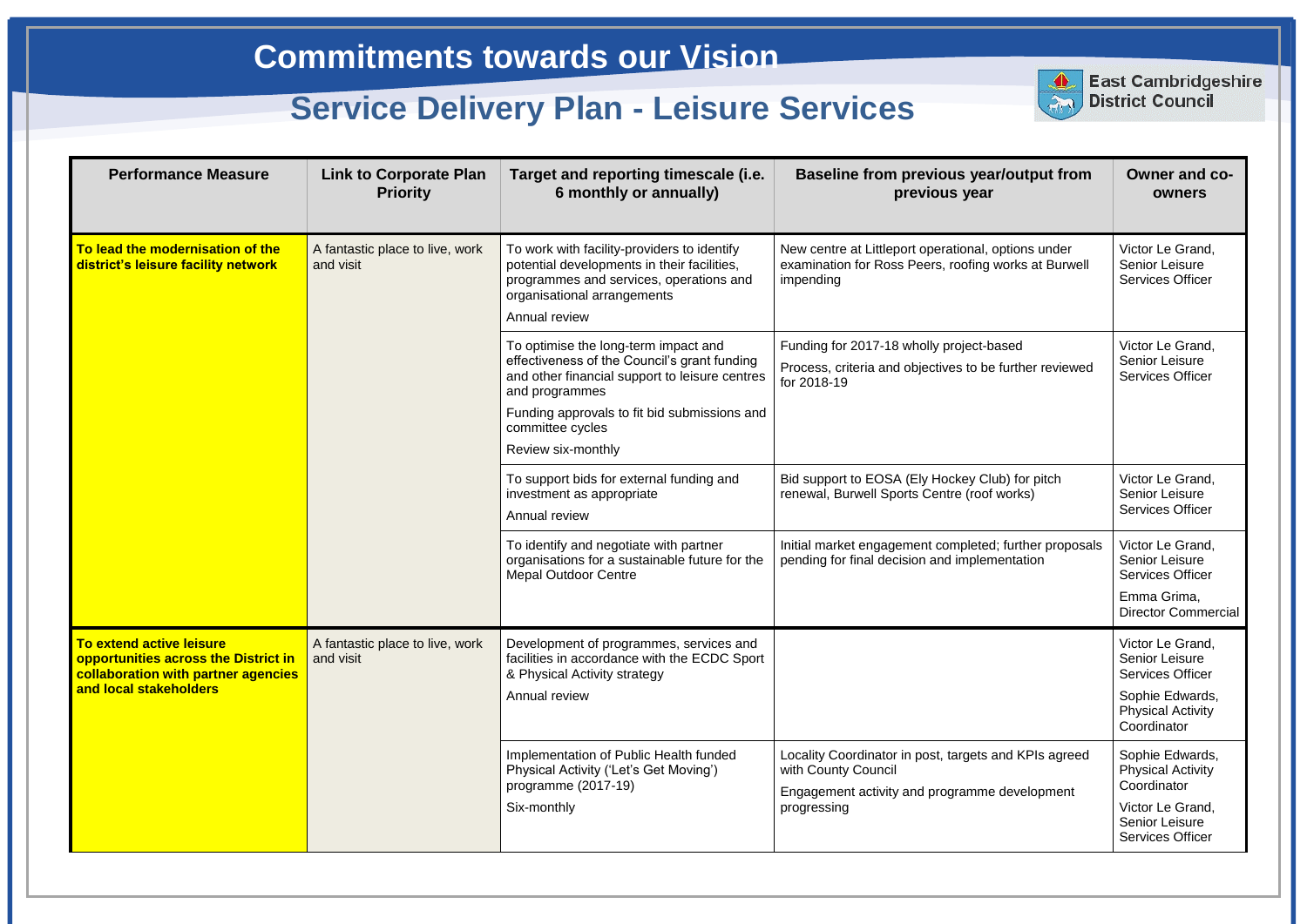| <b>Performance Measure</b>                                                                                                        | <b>Link to Corporate Plan</b><br><b>Priority</b> | Target and reporting timescale (i.e.<br>6 monthly or annually)                                                                                                                                           | <b>Baseline from previous year/output from</b><br>previous year                                                                              | <b>Owner and co-</b><br>owners                                                                                              |
|-----------------------------------------------------------------------------------------------------------------------------------|--------------------------------------------------|----------------------------------------------------------------------------------------------------------------------------------------------------------------------------------------------------------|----------------------------------------------------------------------------------------------------------------------------------------------|-----------------------------------------------------------------------------------------------------------------------------|
| To lead the modernisation of the<br>district's leisure facility network                                                           | A fantastic place to live, work<br>and visit     | To work with facility-providers to identify<br>potential developments in their facilities,<br>programmes and services, operations and<br>organisational arrangements<br>Annual review                    | New centre at Littleport operational, options under<br>examination for Ross Peers, roofing works at Burwell<br>impending                     | Victor Le Grand,<br><b>Senior Leisure</b><br><b>Services Officer</b>                                                        |
|                                                                                                                                   |                                                  | To optimise the long-term impact and<br>effectiveness of the Council's grant funding<br>and other financial support to leisure centres<br>and programmes<br>Funding approvals to fit bid submissions and | Funding for 2017-18 wholly project-based<br>Process, criteria and objectives to be further reviewed<br>for 2018-19                           | Victor Le Grand,<br>Senior Leisure<br><b>Services Officer</b>                                                               |
|                                                                                                                                   |                                                  | committee cycles<br>Review six-monthly                                                                                                                                                                   |                                                                                                                                              |                                                                                                                             |
|                                                                                                                                   |                                                  | To support bids for external funding and<br>investment as appropriate<br>Annual review                                                                                                                   | Bid support to EOSA (Ely Hockey Club) for pitch<br>renewal, Burwell Sports Centre (roof works)                                               | Victor Le Grand,<br>Senior Leisure<br><b>Services Officer</b>                                                               |
|                                                                                                                                   |                                                  | To identify and negotiate with partner<br>organisations for a sustainable future for the<br><b>Mepal Outdoor Centre</b>                                                                                  | Initial market engagement completed; further proposals<br>pending for final decision and implementation                                      | Victor Le Grand,<br>Senior Leisure<br><b>Services Officer</b>                                                               |
|                                                                                                                                   |                                                  |                                                                                                                                                                                                          |                                                                                                                                              | Emma Grima,<br><b>Director Commercial</b>                                                                                   |
| To extend active leisure<br>opportunities across the District in<br>collaboration with partner agencies<br>and local stakeholders | A fantastic place to live, work<br>and visit     | Development of programmes, services and<br>facilities in accordance with the ECDC Sport<br>& Physical Activity strategy                                                                                  |                                                                                                                                              | Victor Le Grand,<br><b>Senior Leisure</b><br><b>Services Officer</b>                                                        |
|                                                                                                                                   |                                                  | Annual review                                                                                                                                                                                            |                                                                                                                                              | Sophie Edwards,<br><b>Physical Activity</b><br>Coordinator                                                                  |
|                                                                                                                                   |                                                  | Implementation of Public Health funded<br>Physical Activity ('Let's Get Moving')<br>programme (2017-19)<br>Six-monthly                                                                                   | Locality Coordinator in post, targets and KPIs agreed<br>with County Council<br>Engagement activity and programme development<br>progressing | Sophie Edwards,<br><b>Physical Activity</b><br>Coordinator<br>Victor Le Grand,<br>Senior Leisure<br><b>Services Officer</b> |



**East Cambridgeshire District Council**

East Cambridge<br>District Council **East Cambridgeshire** 

# **Commitments towards our Vision**

# **Service Delivery Plan - Leisure Services**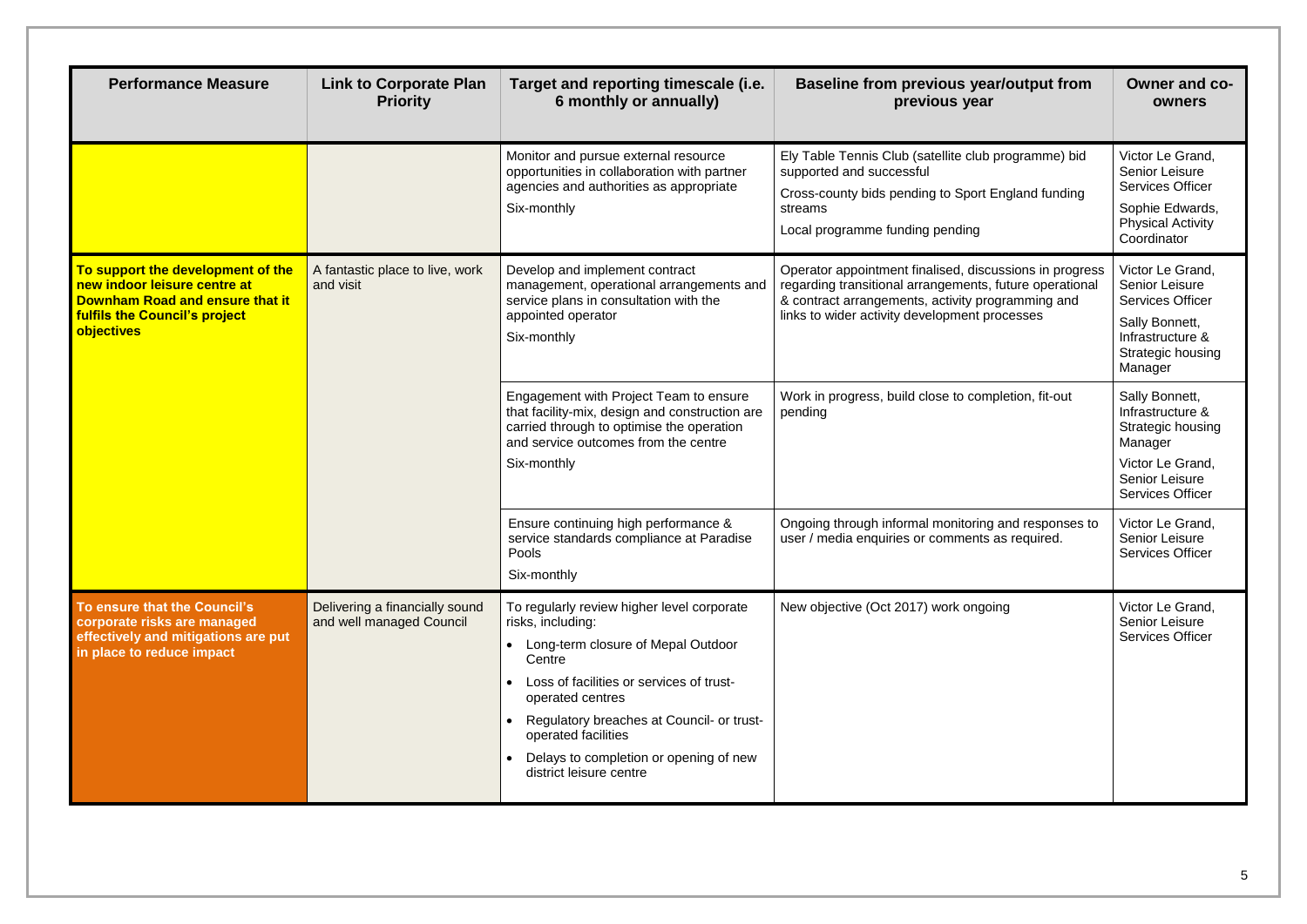| <b>Performance Measure</b>                                                                                                                                 | <b>Link to Corporate Plan</b><br><b>Priority</b>           | Target and reporting timescale (i.e.<br>6 monthly or annually)                                                                                                                                                                                                                                                           | <b>Baseline from previous year/output from</b><br>previous year                                                                                                                                                          | <b>Owner and co-</b><br>owners                                                                                                             |
|------------------------------------------------------------------------------------------------------------------------------------------------------------|------------------------------------------------------------|--------------------------------------------------------------------------------------------------------------------------------------------------------------------------------------------------------------------------------------------------------------------------------------------------------------------------|--------------------------------------------------------------------------------------------------------------------------------------------------------------------------------------------------------------------------|--------------------------------------------------------------------------------------------------------------------------------------------|
|                                                                                                                                                            |                                                            | Monitor and pursue external resource<br>opportunities in collaboration with partner<br>agencies and authorities as appropriate<br>Six-monthly                                                                                                                                                                            | Ely Table Tennis Club (satellite club programme) bid<br>supported and successful<br>Cross-county bids pending to Sport England funding<br>streams<br>Local programme funding pending                                     | Victor Le Grand,<br><b>Senior Leisure</b><br><b>Services Officer</b><br>Sophie Edwards,<br><b>Physical Activity</b><br>Coordinator         |
| To support the development of the<br>new indoor leisure centre at<br>Downham Road and ensure that it<br><b>fulfils the Council's project</b><br>objectives | A fantastic place to live, work<br>and visit               | Develop and implement contract<br>management, operational arrangements and<br>service plans in consultation with the<br>appointed operator<br>Six-monthly                                                                                                                                                                | Operator appointment finalised, discussions in progress<br>regarding transitional arrangements, future operational<br>& contract arrangements, activity programming and<br>links to wider activity development processes | Victor Le Grand,<br><b>Senior Leisure</b><br><b>Services Officer</b><br>Sally Bonnett,<br>Infrastructure &<br>Strategic housing<br>Manager |
|                                                                                                                                                            |                                                            | Engagement with Project Team to ensure<br>that facility-mix, design and construction are<br>carried through to optimise the operation<br>and service outcomes from the centre<br>Six-monthly                                                                                                                             | Work in progress, build close to completion, fit-out<br>pending                                                                                                                                                          | Sally Bonnett,<br>Infrastructure &<br>Strategic housing<br>Manager<br>Victor Le Grand,<br><b>Senior Leisure</b><br><b>Services Officer</b> |
|                                                                                                                                                            |                                                            | Ensure continuing high performance &<br>service standards compliance at Paradise<br>Pools<br>Six-monthly                                                                                                                                                                                                                 | Ongoing through informal monitoring and responses to<br>user / media enquiries or comments as required.                                                                                                                  | Victor Le Grand,<br><b>Senior Leisure</b><br><b>Services Officer</b>                                                                       |
| To ensure that the Council's<br>corporate risks are managed<br>effectively and mitigations are put<br>in place to reduce impact                            | Delivering a financially sound<br>and well managed Council | To regularly review higher level corporate<br>risks, including:<br>Long-term closure of Mepal Outdoor<br>Centre<br>Loss of facilities or services of trust-<br>operated centres<br>Regulatory breaches at Council- or trust-<br>operated facilities<br>Delays to completion or opening of new<br>district leisure centre | New objective (Oct 2017) work ongoing                                                                                                                                                                                    | Victor Le Grand,<br><b>Senior Leisure</b><br><b>Services Officer</b>                                                                       |